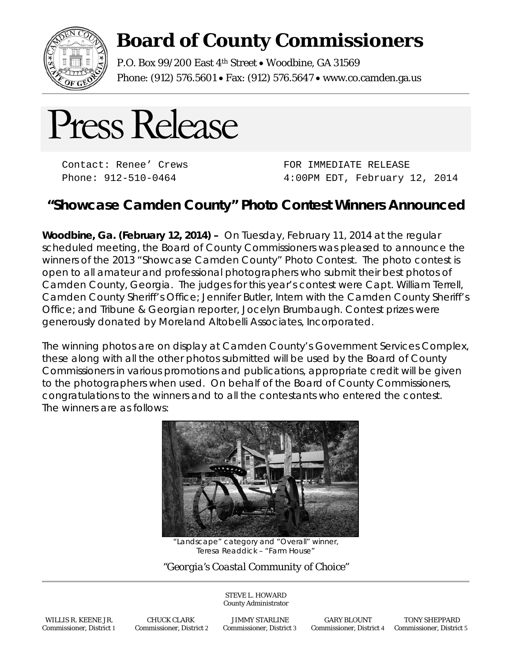

## **Board of County Commissioners**

P.O. Box 99/200 East 4<sup>th</sup> Street . Woodbine, GA 31569 Phone: (912) 576.5601 • Fax: (912) 576.5647 • www.co.camden.ga.us



Contact: Renee' Crews Phone: 912-510-0464

FOR IMMEDIATE RELEASE 4:00PM EDT, February 12, 2014

## **"Showcase Camden County" Photo Contest Winners Announced**

**Woodbine, Ga. (February 12, 2014) –** On Tuesday, February 11, 2014 at the regular scheduled meeting, the Board of County Commissioners was pleased to announce the winners of the 2013 "Showcase Camden County" Photo Contest. The photo contest is open to all amateur and professional photographers who submit their best photos of Camden County, Georgia. The judges for this year's contest were Capt. William Terrell, Camden County Sheriff's Office; Jennifer Butler, Intern with the Camden County Sheriff's Office; and Tribune & Georgian reporter, Jocelyn Brumbaugh. Contest prizes were generously donated by Moreland Altobelli Associates, Incorporated.

The winning photos are on display at Camden County's Government Services Complex, these along with all the other photos submitted will be used by the Board of County Commissioners in various promotions and publications, appropriate credit will be given to the photographers when used. On behalf of the Board of County Commissioners, congratulations to the winners and to all the contestants who entered the contest. The winners are as follows:



"Landscape" category and "Overall" winner, Teresa Readdick – "Farm House"

*"Georgia's Coastal Community of Choice"*

STEVE L. HOWARD County Administrator

WILLIS R. KEENE JR. CHUCK CLARK JIMMY STARLINE GARY BLOUNT TONY SHEPPARD

Commissioner, District 1 Commissioner, District 2 Commissioner, District 3 Commissioner, District 4 Commissioner, District 5